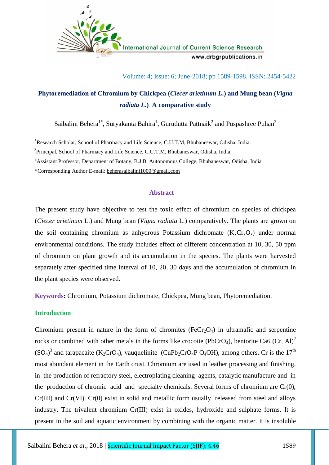

International Journal of Current Science Research www.drbgrpublications.in

Volume: 4; Issue: 6; June-2018; pp 1589-1598. ISSN: 2454-5422

# **Phytoremediation of Chromium by Chickpea (***Ciecer arietinum L***.) and Mung bean (***Vigna radiata L.***) A comparative study**

Saibalini Behera $^{1*}$ , Suryakanta Bahira $^{1}$ , Gurudutta Pattnaik $^{2}$  and Puspashree Puhan $^{3}$ 

**<sup>1</sup>**Research Scholar, School of Pharmacy and Life Science, C.U.T.M, Bhubaneswar, Odisha, India.

<sup>2</sup>Principal, School of Pharmacy and Life Science, C.U.T.M, Bhubaneswar, Odisha, India.

<sup>3</sup>Assistant Professor, Department of Botany, B.J.B. Autonomous College, Bhubaneswar, Odisha, India

\*Corresponding Author E-mail: beherasaibalini1000@gmail.com

## **Abstract**

The present study have objective to test the toxic effect of chromium on species of chickpea (*Ciecer arietinum* L.) and Mung bean (*Vigna radiata* L.) comparatively. The plants are grown on the soil containing chromium as anhydrous Potassium dichromate  $(K_2Cr_2O_7)$  under normal environmental conditions. The study includes effect of different concentration at 10, 30, 50 ppm of chromium on plant growth and its accumulation in the species. The plants were harvested separately after specified time interval of 10, 20, 30 days and the accumulation of chromium in the plant species were observed*.*

**Keywords:** Chromium, Potassium dichromate, Chickpea, Mung bean, Phytoremediation.

## **Introduction**

Chromium present in nature in the form of chromites  $(FeCr<sub>2</sub>O<sub>4</sub>)$  in ultramafic and serpentine rocks or combined with other metals in the forms like crocoite (PbCrO<sub>4</sub>), bentorite Ca6 (Cr, Al)<sup>2</sup>  $(SO_4)^3$  and tarapacaite (K<sub>2</sub>CrO<sub>4</sub>), vauquelinite (CuPb<sub>2</sub>CrO<sub>4</sub>P O<sub>4</sub>OH), among others. Cr is the 17<sup>th</sup> most abundant element in the Earth crust. Chromium are used in leather processing and finishing, in the production of refractory steel, electroplating cleaning agents, catalytic manufacture and in the production of chromic acid and specialty chemicals. Several forms of chromium are  $Cr(0)$ , Cr(III) and Cr(VI). Cr(0) exist in solid and metallic form usually released from steel and alloys industry. The trivalent chromium Cr(III) exist in oxides, hydroxide and sulphate forms. It is present in the soil and aquatic environment by combining with the organic matter. It is insoluble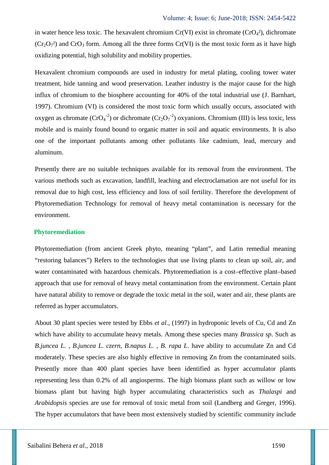in water hence less toxic. The hexavalent chromium  $Cr(VI)$  exist in chromate  $(CrO<sub>4</sub><sup>2</sup>)$ , dichromate  $(Cr_2O_7^2)$  and  $CrO_3$  form. Among all the three forms  $Cr(VI)$  is the most toxic form as it have high oxidizing potential, high solubility and mobility properties.

Hexavalent chromium compounds are used in industry for metal plating, cooling tower water treatment, hide tanning and wood preservation. Leather industry is the major cause for the high influx of chromium to the biosphere accounting for 40% of the total industrial use (J. Barnhart, 1997). Chromium (VI) is considered the most toxic form which usually occurs, associated with oxygen as chromate  $(CrO<sub>4</sub><sup>-2</sup>)$  or dichromate  $(Cr<sub>2</sub>O<sub>7</sub><sup>-2</sup>)$  oxyanions. Chromium (III) is less toxic, less mobile and is mainly found bound to organic matter in soil and aquatic environments. It is also one of the important pollutants among other pollutants like cadmium, lead, mercury and aluminum.

Presently there are no suitable techniques available for its removal from the environment. The various methods such as excavation, landfill, leaching and electroclamation are not useful for its removal due to high cost, less efficiency and loss of soil fertility. Therefore the development of Phytoremediation Technology for removal of heavy metal contamination is necessary for the environment.

#### **Phytoremediation**

Phytoremediation (from ancient Greek phyto, meaning "plant", and Latin remedial meaning "restoring balances") Refers to the technologies that use living plants to clean up soil, air, and water contaminated with hazardous chemicals. Phytoremediation is a cost–effective plant–based approach that use for removal of heavy metal contamination from the environment. Certain plant have natural ability to remove or degrade the toxic metal in the soil, water and air, these plants are referred as hyper accumulators.

About 30 plant species were tested by Ebbs *et al*., (1997) in hydroponic levels of Cu, Cd and Zn which have ability to accumulate heavy metals. Among these species many *Brassica sp*. Such as *B.juncea L. , B.juncea L. czern, B.napus L. , B. rapa L*. have ability to accumulate Zn and Cd moderately. These species are also highly effective in removing Zn from the contaminated soils. Presently more than 400 plant species have been identified as hyper accumulator plants representing less than 0.2% of all angiosperms. The high biomass plant such as willow or low biomass plant but having high hyper accumulating characteristics such as *Thalaspi* and *Arabidopsis* species are use for removal of toxic metal from soil (Landberg and Greger, 1996). The hyper accumulators that have been most extensively studied by scientific community include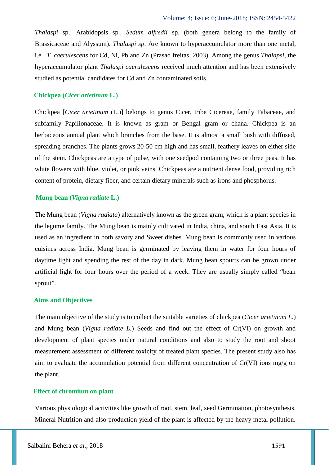*Thalaspi* sp., Arabidopsis sp., *Sedum alfredii* sp. (both genera belong to the family of Brassicaceae and Alyssum). *Thalaspi sp*. Are known to hyperaccumulator more than one metal, i.e., *T. caerulescens* for Cd, Ni, Pb and Zn (Prasad freitas, 2003). Among the genus *Thalapsi*, the hyperaccumulator plant *Thalaspi caerulescens* received much attention and has been extensively studied as potential candidates for Cd and Zn contaminated soils.

## **Chickpea (***Cicer arietinum* **L.)**

Chickpea [*Cicer arietinum* (L.)] belongs to genus Cicer, tribe Cicereae, family Fabaceae, and subfamily Papilionaceae. It is known as gram or Bengal gram or chana. Chickpea is an herbaceous annual plant which branches from the base. It is almost a small bush with diffused, spreading branches. The plants grows 20-50 cm high and has small, feathery leaves on either side of the stem. Chickpeas are a type of pulse, with one seedpod containing two or three peas. It has white flowers with blue, violet, or pink veins. Chickpeas are a nutrient dense food, providing rich content of protein, dietary fiber, and certain dietary minerals such as irons and phosphorus.

## **Mung bean (***Vigna radiate* **L.)**

The Mung bean (*Vigna radiata*) alternatively known as the green gram, which is a plant species in the legume family. The Mung bean is mainly cultivated in India, china, and south East Asia. It is used as an ingredient in both savory and Sweet dishes. Mung bean is commonly used in various cuisines across India. Mung bean is germinated by leaving them in water for four hours of daytime light and spending the rest of the day in dark. Mung bean spourts can be grown under artificial light for four hours over the period of a week. They are usually simply called "bean sprout".

## **Aims and Objectives**

The main objective of the study is to collect the suitable varieties of chickpea (*Cicer arietinum L*.) and Mung bean (*Vigna radiate L.*) Seeds and find out the effect of Cr(VI) on growth and development of plant species under natural conditions and also to study the root and shoot measurement assessment of different toxicity of treated plant species. The present study also has aim to evaluate the accumulation potential from different concentration of Cr(VI) ions mg/g on the plant.

## **Effect of chromium on plant**

Various physiological activities like growth of root, stem, leaf, seed Germination, photosynthesis, Mineral Nutrition and also production yield of the plant is affected by the heavy metal pollution.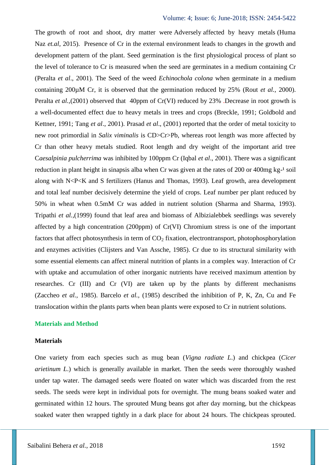The growth of root and shoot, dry matter were Adversely affected by heavy metals (Huma Naz *et.al*, 2015). Presence of Cr in the external environment leads to changes in the growth and development pattern of the plant. Seed germination is the first physiological process of plant so the level of tolerance to Cr is measured when the seed are germinates in a medium containing Cr (Peralta *et al*., 2001). The Seed of the weed *Echinochola colona* when germinate in a medium containing 200µM Cr, it is observed that the germination reduced by 25% (Rout *et al.,* 2000). Peralta *et al.*,(2001) observed that 40ppm of Cr(VI) reduced by 23% .Decrease in root growth is a well-documented effect due to heavy metals in trees and crops (Breckle, 1991; Goldbold and Kettner, 1991; Tang *et al*., 2001). Prasad *et al*., (2001) reported that the order of metal toxicity to new root primordial in *Salix viminalis* is CD>Cr>Pb, whereas root length was more affected by Cr than other heavy metals studied. Root length and dry weight of the important arid tree C*aesalpinia pulcherrima* was inhibited by 100ppm Cr (Iqbal *et al*., 2001). There was a significant reduction in plant height in sinapsis alba when Cr was given at the rates of 200 or 400mg kg-<sup>1</sup> soil along with N<P<K and S fertilizers (Hanus and Thomas, 1993). Leaf growth, area development and total leaf number decisively determine the yield of crops. Leaf number per plant reduced by 50% in wheat when 0.5mM Cr was added in nutrient solution (Sharma and Sharma, 1993). Tripathi *et al.,*(1999) found that leaf area and biomass of Albizialebbek seedlings was severely affected by a high concentration (200ppm) of Cr(VI) Chromium stress is one of the important factors that affect photosynthesis in term of  $CO<sub>2</sub>$  fixation, electrontransport, photophosphorylation and enzymes activities (Clijsters and Van Assche, 1985). Cr due to its structural similarity with some essential elements can affect mineral nutrition of plants in a complex way. Interaction of Cr with uptake and accumulation of other inorganic nutrients have received maximum attention by researches. Cr (III) and Cr (VI) are taken up by the plants by different mechanisms (Zaccheo *et al.,* 1985). Barcelo *et al.,* (1985) described the inhibition of P, K, Zn, Cu and Fe translocation within the plants parts when bean plants were exposed to Cr in nutrient solutions.

### **Materials and Method**

#### **Materials**

One variety from each species such as mug bean (*Vigna radiate L*.) and chickpea (*Cicer arietinum L*.) which is generally available in market. Then the seeds were thoroughly washed under tap water. The damaged seeds were floated on water which was discarded from the rest seeds. The seeds were kept in individual pots for overnight. The mung beans soaked water and germinated within 12 hours. The sprouted Mung beans got after day morning, but the chickpeas soaked water then wrapped tightly in a dark place for about 24 hours. The chickpeas sprouted.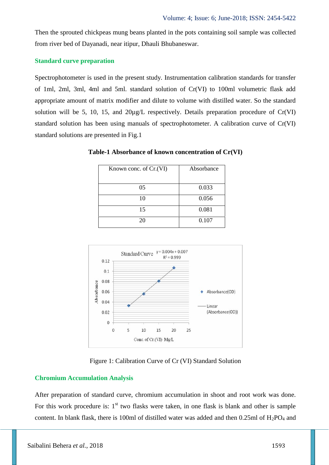Then the sprouted chickpeas mung beans planted in the pots containing soil sample was collected from river bed of Dayanadi, near itipur, Dhauli Bhubaneswar.

#### **Standard curve preparation**

Spectrophotometer is used in the present study. Instrumentation calibration standards for transfer of 1ml, 2ml, 3ml, 4ml and 5ml. standard solution of Cr(VI) to 100ml volumetric flask add appropriate amount of matrix modifier and dilute to volume with distilled water. So the standard solution will be 5, 10, 15, and  $20\mu g/L$  respectively. Details preparation procedure of Cr(VI) standard solution has been using manuals of spectrophotometer. A calibration curve of Cr(VI) standard solutions are presented in Fig.1

| Known conc. of Cr. (VI) | Absorbance |
|-------------------------|------------|
|                         |            |
| 05                      | 0.033      |
| 10                      | 0.056      |
| 15                      | 0.081      |
| 20                      | 0.107      |

**Table-1 Absorbance of known concentration of Cr(VI)**



Figure 1: Calibration Curve of Cr (VI) Standard Solution

# **Chromium Accumulation Analysis**

After preparation of standard curve, chromium accumulation in shoot and root work was done. For this work procedure is:  $1<sup>st</sup>$  two flasks were taken, in one flask is blank and other is sample content. In blank flask, there is 100ml of distilled water was added and then  $0.25$ ml of  $H_2PO_4$  and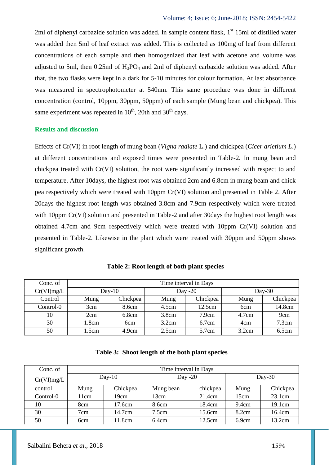2ml of diphenyl carbazide solution was added. In sample content flask, 1<sup>st</sup> 15ml of distilled water was added then 5ml of leaf extract was added. This is collected as 100mg of leaf from different concentrations of each sample and then homogenized that leaf with acetone and volume was adjusted to 5ml, then  $0.25$ ml of  $H_3PO_4$  and 2ml of diphenyl carbazide solution was added. After that, the two flasks were kept in a dark for 5-10 minutes for colour formation. At last absorbance was measured in spectrophotometer at 540nm. This same procedure was done in different concentration (control, 10ppm, 30ppm, 50ppm) of each sample (Mung bean and chickpea). This same experiment was repeated in  $10^{th}$ , 20th and 30<sup>th</sup> days.

#### **Results and discussion**

Effects of Cr(VI) in root length of mung bean (*Vigna radiate* L.) and chickpea (*Cicer arietium L*.) at different concentrations and exposed times were presented in Table-2. In mung bean and chickpea treated with Cr(VI) solution, the root were significantly increased with respect to and temperature. After 10days, the highest root was obtained 2cm and 6.8cm in mung beam and chick pea respectively which were treated with 10ppm Cr(VI) solution and presented in Table 2. After 20days the highest root length was obtained 3.8cm and 7.9cm respectively which were treated with 10ppm Cr(VI) solution and presented in Table-2 and after 30 days the highest root length was obtained 4.7cm and 9cm respectively which were treated with 10ppm Cr(VI) solution and presented in Table-2. Likewise in the plant which were treated with 30ppm and 50ppm shows significant growth.

| Conc. of   | Time interval in Days |          |           |          |                 |          |
|------------|-----------------------|----------|-----------|----------|-----------------|----------|
| Cr(VI)mg/L | $Day-10$              |          | Day $-20$ |          | $Day-30$        |          |
| Control    | Mung                  | Chickpea | Mung      | Chickpea | Mung            | Chickpea |
| Control-0  | 3cm                   | 8.6cm    | 4.5cm     | 12.5cm   | 6 <sub>cm</sub> | 14.8cm   |
| 10         | 2cm                   | 6.8cm    | 3.8cm     | 7.9cm    | 4.7cm           | 9cm      |
| 30         | 1.8cm                 | 6cm      | 3.2cm     | 6.7cm    | 4cm             | 7.3cm    |
| 50         | 1.5cm                 | 4.9cm    | 2.5cm     | 5.7cm    | 3.2cm           | 6.5cm    |

**Table 2: Root length of both plant species**

|  | Table 3: Shoot length of the both plant species |  |  |
|--|-------------------------------------------------|--|--|
|--|-------------------------------------------------|--|--|

| Conc. of      | Time interval in Days |          |           |          |          |          |
|---------------|-----------------------|----------|-----------|----------|----------|----------|
| $Cr(VI)$ mg/L | $Day-10$              |          | Day $-20$ |          | $Day-30$ |          |
| control       | Mung                  | Chickpea | Mung bean | chickpea | Mung     | Chickpea |
| Control-0     | 11cm                  | 19cm     | 13cm      | 21.4cm   | 15cm     | 23.1cm   |
| 10            | 8cm                   | 17.6cm   | 8.6cm     | 18.4cm   | 9.4cm    | 19.1cm   |
| 30            | 7cm                   | 14.7cm   | 7.5cm     | 15.6cm   | 8.2cm    | 16.4cm   |
| 50            | 6 <sub>cm</sub>       | 11.8cm   | 6.4cm     | 12.5cm   | 6.9cm    | 13.2cm   |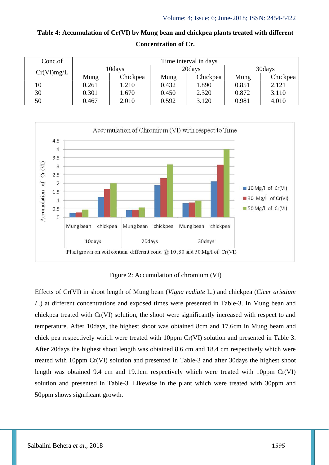| Conc.of    | Time interval in days |          |        |          |         |          |
|------------|-----------------------|----------|--------|----------|---------|----------|
| Cr(VI)mg/L | 10days                |          | 20days |          | 30 days |          |
|            | Mung                  | Chickpea | Mung   | Chickpea | Mung    | Chickpea |
| 10         | 0.261                 | 1.210    | 0.432  | 1.890    | 0.851   | 2.121    |
| 30         | 0.301                 | 1.670    | 0.450  | 2.320    | 0.872   | 3.110    |
| 50         | 0.467                 | 2.010    | 0.592  | 3.120    | 0.981   | 4.010    |

**Table 4: Accumulation of Cr(VI) by Mung bean and chickpea plants treated with different Concentration of Cr.**



Figure 2: Accumulation of chromium (VI)

Effects of Cr(VI) in shoot length of Mung bean (*Vigna radiate* L.) and chickpea (*Cicer arietium L*.) at different concentrations and exposed times were presented in Table-3. In Mung bean and chickpea treated with Cr(VI) solution, the shoot were significantly increased with respect to and temperature. After 10days, the highest shoot was obtained 8cm and 17.6cm in Mung beam and chick pea respectively which were treated with 10ppm Cr(VI) solution and presented in Table 3. After 20days the highest shoot length was obtained 8.6 cm and 18.4 cm respectively which were treated with 10ppm Cr(VI) solution and presented in Table-3 and after 30days the highest shoot length was obtained 9.4 cm and 19.1cm respectively which were treated with 10ppm Cr(VI) solution and presented in Table-3. Likewise in the plant which were treated with 30ppm and 50ppm shows significant growth.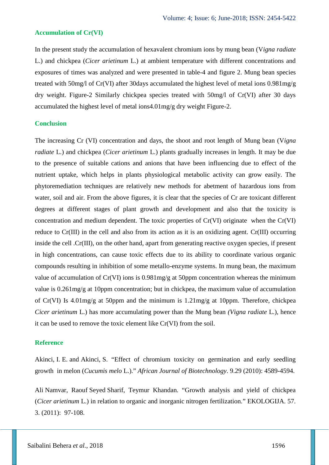#### **Accumulation of Cr(VI)**

In the present study the accumulation of hexavalent chromium ions by mung bean (V*igna radiate* L.) and chickpea (*Cicer arietinum* L.) at ambient temperature with different concentrations and exposures of times was analyzed and were presented in table-4 and figure 2. Mung bean species treated with 50mg/l of Cr(VI) after 30days accumulated the highest level of metal ions 0.981mg/g dry weight. Figure-2 Similarly chickpea species treated with 50mg/l of Cr(VI) after 30 days accumulated the highest level of metal ions4.01mg/g dry weight Figure-2.

### **Conclusion**

The increasing Cr (VI) concentration and days, the shoot and root length of Mung bean (V*igna radiate* L.) and chickpea (*Cicer arietinum* L.) plants gradually increases in length. It may be due to the presence of suitable cations and anions that have been influencing due to effect of the nutrient uptake, which helps in plants physiological metabolic activity can grow easily. The phytoremediation techniques are relatively new methods for abetment of hazardous ions from water, soil and air. From the above figures, it is clear that the species of Cr are toxicant different degrees at different stages of plant growth and development and also that the toxicity is concentration and medium dependent. The toxic properties of Cr(VI) originate when the Cr(VI) reduce to Cr(III) in the cell and also from its action as it is an oxidizing agent. Cr(III) occurring inside the cell .Cr(III), on the other hand, apart from generating reactive oxygen species, if present in high concentrations, can cause toxic effects due to its ability to coordinate various organic compounds resulting in inhibition of some metallo-enzyme systems. In mung bean, the maximum value of accumulation of Cr(VI) ions is 0.981mg/g at 50ppm concentration whereas the minimum value is 0.261mg/g at 10ppm concentration; but in chickpea, the maximum value of accumulation of Cr(VI) Is 4.01mg/g at 50ppm and the minimum is 1.21mg/g at 10ppm. Therefore, chickpea *Cicer arietinum* L.) has more accumulating power than the Mung bean *(Vigna radiate* L.), hence it can be used to remove the toxic element like Cr(VI) from the soil.

#### **Reference**

Akinci, I. E. and Akinci, S. "Effect of chromium toxicity on germination and early seedling growth in melon (*Cucumis melo* L.)." *African Journal of Biotechnology*. 9.29 (2010): 4589-4594.

Ali Namvar, Raouf Seyed Sharif, Teymur Khandan. "Growth analysis and yield of chickpea (*Cicer arietinum* L.) in relation to organic and inorganic nitrogen fertilization." EKOLOGIJA. 57. 3. (2011): 97-108.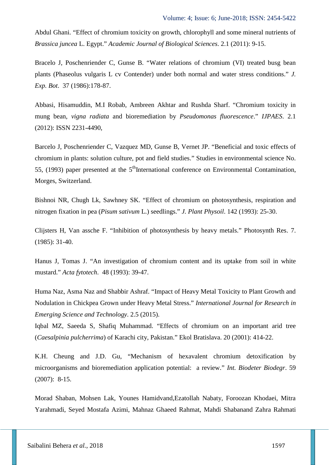Abdul Ghani. "Effect of chromium toxicity on growth, chlorophyll and some mineral nutrients of *Brassica juncea* L. Egypt." *Academic Journal of Biological Sciences*. 2.1 (2011): 9-15.

Bracelo J, Poschenriender C, Gunse B. "Water relations of chromium (VI) treated busg bean plants (Phaseolus vulgaris L cv Contender) under both normal and water stress conditions." *J. Exp. Bot*. 37 (1986):178-87.

Abbasi, Hisamuddin, M.I Robab, Ambreen Akhtar and Rushda Sharf. "Chromium toxicity in mung bean, *vigna radiata* and bioremediation by *Pseudomonas fluorescence*." *IJPAES*. 2.1 (2012): ISSN 2231-4490,

Barcelo J, Poschenriender C, Vazquez MD, Gunse B, Vernet JP. "Beneficial and toxic effects of chromium in plants: solution culture, pot and field studies." Studies in environmental science No. 55, (1993) paper presented at the  $5<sup>th</sup>$ International conference on Environmental Contamination, Morges, Switzerland.

Bishnoi NR, Chugh Lk, Sawhney SK. "Effect of chromium on photosynthesis, respiration and nitrogen fixation in pea (*Pisum sativum* L.) seedlings." *J. Plant Physoil*. 142 (1993): 25-30.

Clijsters H, Van assche F. "Inhibition of photosynthesis by heavy metals." Photosynth Res. 7. (1985): 31-40.

Hanus J, Tomas J. "An investigation of chromium content and its uptake from soil in white mustard." *Acta fytotech*. 48 (1993): 39-47.

Huma Naz, Asma Naz and Shabbir Ashraf. "Impact of Heavy Metal Toxicity to Plant Growth and Nodulation in Chickpea Grown under Heavy Metal Stress." *International Journal for Research in Emerging Science and Technology*. 2.5 (2015).

Iqbal MZ, Saeeda S, Shafiq Muhammad. "Effects of chromium on an important arid tree (*Caesalpinia pulcherrima*) of Karachi city, Pakistan." Ekol Bratislava. 20 (2001): 414-22.

K.H. Cheung and J.D. Gu, "Mechanism of hexavalent chromium detoxification by microorganisms and bioremediation application potential: a review." *Int. Biodeter Biodegr*. 59 (2007): 8-15.

Morad Shaban, Mohsen Lak, Younes Hamidvand,Ezatollah Nabaty, Foroozan Khodaei, Mitra Yarahmadi, Seyed Mostafa Azimi, Mahnaz Ghaeed Rahmat, Mahdi Shabanand Zahra Rahmati